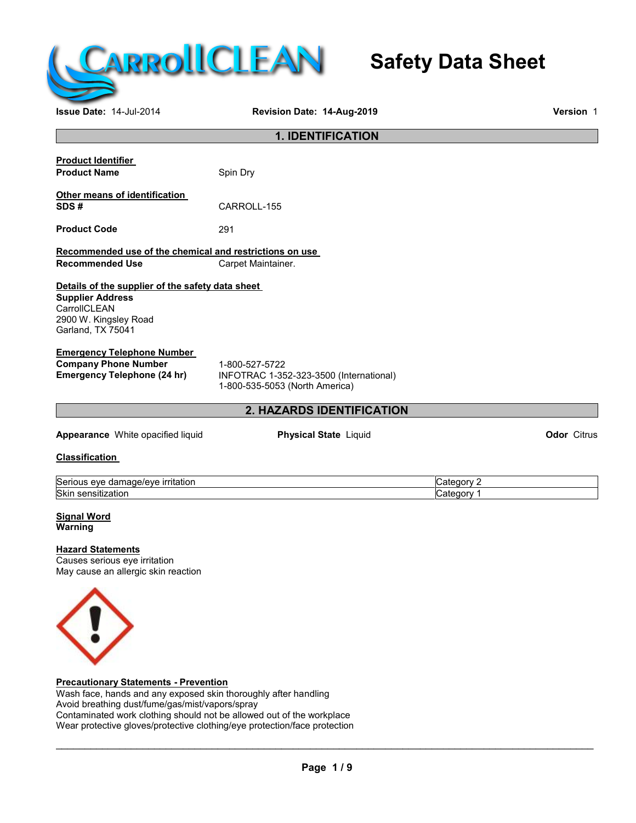

# **Safety Data Sheet**

**Issue Date:** 14-Jul-2014 **Revision Date: 14-Aug-2019 Version** 1

| <b>1. IDENTIFICATION</b>                                                    |                                         |            |                    |
|-----------------------------------------------------------------------------|-----------------------------------------|------------|--------------------|
|                                                                             |                                         |            |                    |
| <b>Product Identifier</b><br><b>Product Name</b>                            | Spin Dry                                |            |                    |
|                                                                             |                                         |            |                    |
| Other means of identification                                               |                                         |            |                    |
| SDS#                                                                        | CARROLL-155                             |            |                    |
| <b>Product Code</b>                                                         | 291                                     |            |                    |
| Recommended use of the chemical and restrictions on use                     |                                         |            |                    |
| <b>Recommended Use</b>                                                      | Carpet Maintainer.                      |            |                    |
|                                                                             |                                         |            |                    |
| Details of the supplier of the safety data sheet<br><b>Supplier Address</b> |                                         |            |                    |
| CarrollCLEAN                                                                |                                         |            |                    |
| 2900 W. Kingsley Road                                                       |                                         |            |                    |
| Garland, TX 75041                                                           |                                         |            |                    |
| <b>Emergency Telephone Number</b>                                           |                                         |            |                    |
| <b>Company Phone Number</b>                                                 | 1-800-527-5722                          |            |                    |
| <b>Emergency Telephone (24 hr)</b>                                          | INFOTRAC 1-352-323-3500 (International) |            |                    |
|                                                                             | 1-800-535-5053 (North America)          |            |                    |
|                                                                             | 2. HAZARDS IDENTIFICATION               |            |                    |
| Appearance White opacified liquid                                           | <b>Physical State Liquid</b>            |            | <b>Odor</b> Citrus |
| <b>Classification</b>                                                       |                                         |            |                    |
|                                                                             |                                         |            |                    |
| Serious eye damage/eye irritation                                           |                                         | Category 2 |                    |
| Skin sensitization                                                          |                                         | Category 1 |                    |
| <b>Signal Word</b>                                                          |                                         |            |                    |
| Warning                                                                     |                                         |            |                    |
| <b>Hazard Statements</b>                                                    |                                         |            |                    |
| Causes serious eye irritation                                               |                                         |            |                    |
| May cause an allergic skin reaction                                         |                                         |            |                    |
|                                                                             |                                         |            |                    |
|                                                                             |                                         |            |                    |
|                                                                             |                                         |            |                    |
| U                                                                           |                                         |            |                    |
|                                                                             |                                         |            |                    |
|                                                                             |                                         |            |                    |
|                                                                             |                                         |            |                    |

**Precautionary Statements - Prevention**

Wash face, hands and any exposed skin thoroughly after handling Avoid breathing dust/fume/gas/mist/vapors/spray Contaminated work clothing should not be allowed out of the workplace Wear protective gloves/protective clothing/eye protection/face protection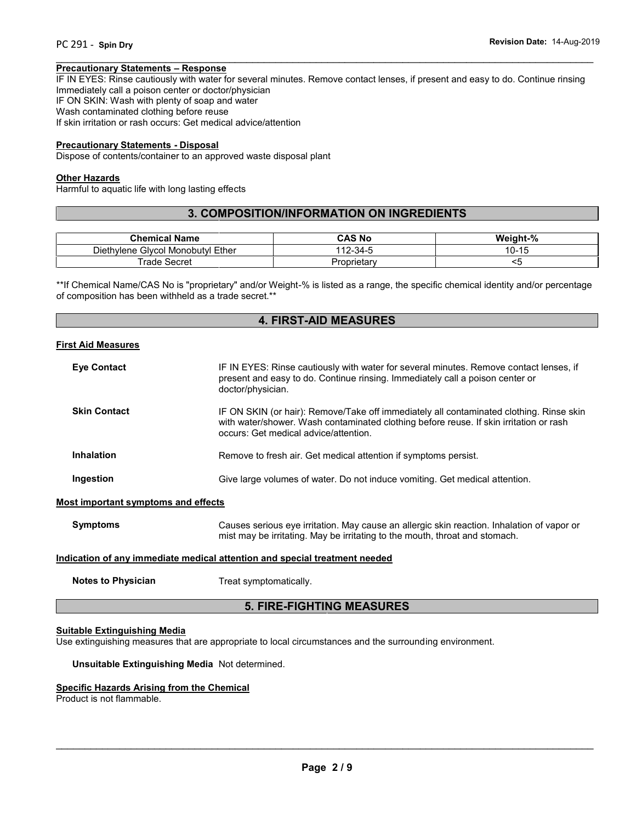#### **Precautionary Statements – Response**

IF IN EYES: Rinse cautiously with water for several minutes. Remove contact lenses, if present and easy to do. Continue rinsing Immediately call a poison center or doctor/physician IF ON SKIN: Wash with plenty of soap and water Wash contaminated clothing before reuse If skin irritation or rash occurs: Get medical advice/attention

 $\overline{\phantom{a}}$  , and the contribution of the contribution of the contribution of the contribution of the contribution of the contribution of the contribution of the contribution of the contribution of the contribution of the

#### **Precautionary Statements - Disposal**

Dispose of contents/container to an approved waste disposal plant

#### **Other Hazards**

Harmful to aquatic life with long lasting effects

# **3. COMPOSITION/INFORMATION ON INGREDIENTS**

| <b>Chemical Name</b>                           | CAS No      | Weight-%          |
|------------------------------------------------|-------------|-------------------|
| Ether<br><b>Givcol Monobutvi</b><br>Diethvlene | 112-34-5    | $10 - 15$<br>ט-וס |
| ∵ rade<br>Secret                               | Proprietary |                   |

\*\*If Chemical Name/CAS No is "proprietary" and/or Weight-% is listed as a range, the specific chemical identity and/or percentage of composition has been withheld as a trade secret.\*\*

# **4. FIRST-AID MEASURES**

#### **First Aid Measures**

| <b>Eye Contact</b>                         | IF IN EYES: Rinse cautiously with water for several minutes. Remove contact lenses, if<br>present and easy to do. Continue rinsing. Immediately call a poison center or<br>doctor/physician.                               |
|--------------------------------------------|----------------------------------------------------------------------------------------------------------------------------------------------------------------------------------------------------------------------------|
| <b>Skin Contact</b>                        | IF ON SKIN (or hair): Remove/Take off immediately all contaminated clothing. Rinse skin<br>with water/shower. Wash contaminated clothing before reuse. If skin irritation or rash<br>occurs: Get medical advice/attention. |
| <b>Inhalation</b>                          | Remove to fresh air. Get medical attention if symptoms persist.                                                                                                                                                            |
| Ingestion                                  | Give large volumes of water. Do not induce vomiting. Get medical attention.                                                                                                                                                |
| <b>Most important symptoms and effects</b> |                                                                                                                                                                                                                            |
| <b>Symptoms</b>                            | Causes serious eye irritation. May cause an allergic skin reaction. Inhalation of vapor or<br>mist may be irritating. May be irritating to the mouth, throat and stomach.                                                  |
|                                            | الموامعون فمروميه ومراد اواموهم والمسور وبوافعه والموالو ومواطنا والمتحدث بروره فوروا ومافوه الرورا                                                                                                                        |

#### **Indication of any immediate medical attention and special treatment needed**

**Notes to Physician** Treat symptomatically.

# **5. FIRE-FIGHTING MEASURES**

### **Suitable Extinguishing Media**

Use extinguishing measures that are appropriate to local circumstances and the surrounding environment.

#### **Unsuitable Extinguishing Media** Not determined.

#### **Specific Hazards Arising from the Chemical**

Product is not flammable.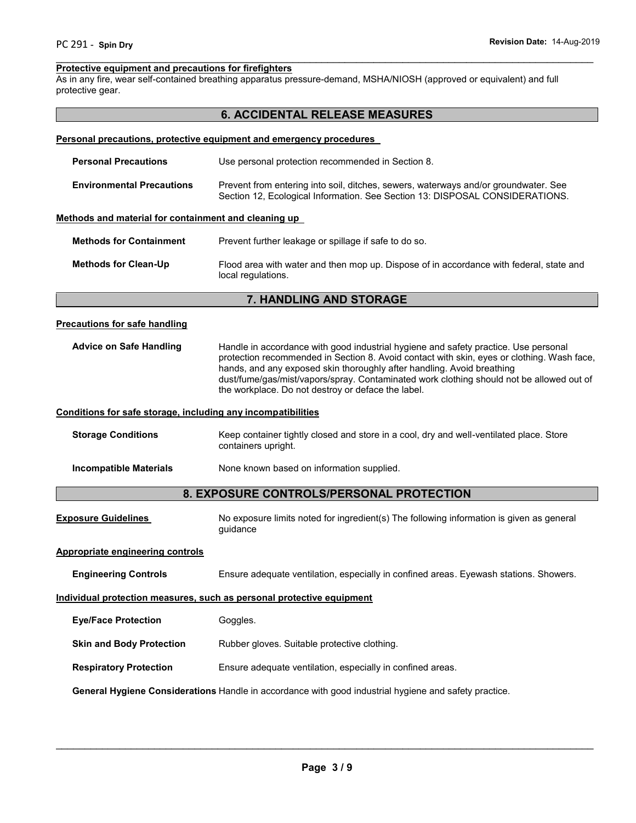#### $\overline{\phantom{a}}$  , and the contribution of the contribution of the contribution of the contribution of the contribution of the contribution of the contribution of the contribution of the contribution of the contribution of the **Protective equipment and precautions for firefighters**

As in any fire, wear self-contained breathing apparatus pressure-demand, MSHA/NIOSH (approved or equivalent) and full protective gear.

|                                                              | <b>6. ACCIDENTAL RELEASE MEASURES</b>                                                                                                                                                                                                                                                                                                                                                                         |  |
|--------------------------------------------------------------|---------------------------------------------------------------------------------------------------------------------------------------------------------------------------------------------------------------------------------------------------------------------------------------------------------------------------------------------------------------------------------------------------------------|--|
|                                                              | Personal precautions, protective equipment and emergency procedures                                                                                                                                                                                                                                                                                                                                           |  |
| <b>Personal Precautions</b>                                  | Use personal protection recommended in Section 8.                                                                                                                                                                                                                                                                                                                                                             |  |
| <b>Environmental Precautions</b>                             | Prevent from entering into soil, ditches, sewers, waterways and/or groundwater. See<br>Section 12, Ecological Information. See Section 13: DISPOSAL CONSIDERATIONS.                                                                                                                                                                                                                                           |  |
| Methods and material for containment and cleaning up         |                                                                                                                                                                                                                                                                                                                                                                                                               |  |
| <b>Methods for Containment</b>                               | Prevent further leakage or spillage if safe to do so.                                                                                                                                                                                                                                                                                                                                                         |  |
| <b>Methods for Clean-Up</b>                                  | Flood area with water and then mop up. Dispose of in accordance with federal, state and<br>local regulations.                                                                                                                                                                                                                                                                                                 |  |
|                                                              | 7. HANDLING AND STORAGE                                                                                                                                                                                                                                                                                                                                                                                       |  |
| <b>Precautions for safe handling</b>                         |                                                                                                                                                                                                                                                                                                                                                                                                               |  |
| <b>Advice on Safe Handling</b>                               | Handle in accordance with good industrial hygiene and safety practice. Use personal<br>protection recommended in Section 8. Avoid contact with skin, eyes or clothing. Wash face,<br>hands, and any exposed skin thoroughly after handling. Avoid breathing<br>dust/fume/gas/mist/vapors/spray. Contaminated work clothing should not be allowed out of<br>the workplace. Do not destroy or deface the label. |  |
| Conditions for safe storage, including any incompatibilities |                                                                                                                                                                                                                                                                                                                                                                                                               |  |
| <b>Storage Conditions</b>                                    | Keep container tightly closed and store in a cool, dry and well-ventilated place. Store<br>containers upright.                                                                                                                                                                                                                                                                                                |  |
| <b>Incompatible Materials</b>                                | None known based on information supplied.                                                                                                                                                                                                                                                                                                                                                                     |  |
|                                                              | 8. EXPOSURE CONTROLS/PERSONAL PROTECTION                                                                                                                                                                                                                                                                                                                                                                      |  |
| <b>Exposure Guidelines</b>                                   | No exposure limits noted for ingredient(s) The following information is given as general<br>guidance                                                                                                                                                                                                                                                                                                          |  |
| <b>Appropriate engineering controls</b>                      |                                                                                                                                                                                                                                                                                                                                                                                                               |  |
| <b>Engineering Controls</b>                                  | Ensure adequate ventilation, especially in confined areas. Eyewash stations. Showers.                                                                                                                                                                                                                                                                                                                         |  |
|                                                              | Individual protection measures, such as personal protective equipment                                                                                                                                                                                                                                                                                                                                         |  |
| <b>Eye/Face Protection</b>                                   | Goggles.                                                                                                                                                                                                                                                                                                                                                                                                      |  |
| <b>Skin and Body Protection</b>                              | Rubber gloves. Suitable protective clothing.                                                                                                                                                                                                                                                                                                                                                                  |  |
| <b>Respiratory Protection</b>                                | Ensure adequate ventilation, especially in confined areas.                                                                                                                                                                                                                                                                                                                                                    |  |
|                                                              | General Hygiene Considerations Handle in accordance with good industrial hygiene and safety practice.                                                                                                                                                                                                                                                                                                         |  |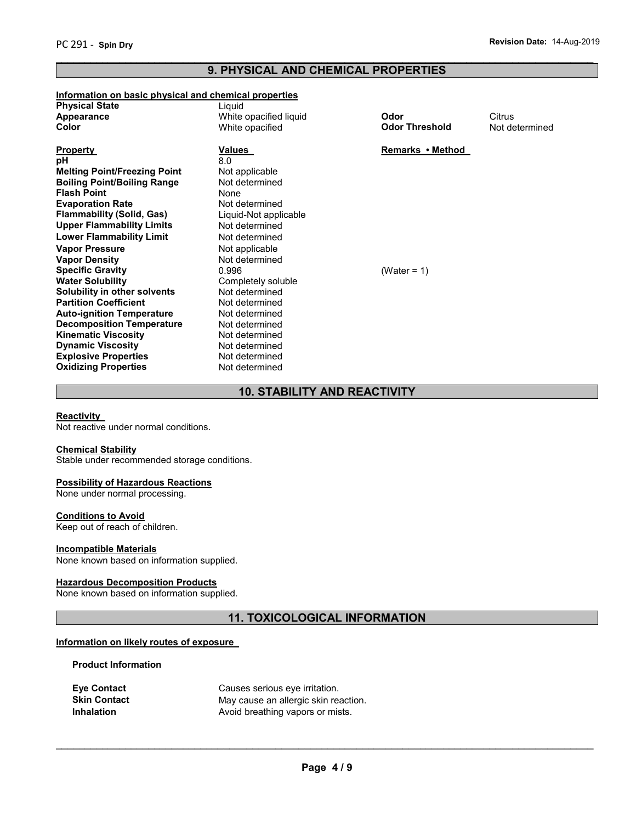# **9. PHYSICAL AND CHEMICAL PROPERTIES**

 $\overline{\phantom{a}}$  , and the contribution of the contribution of the contribution of the contribution of the contribution of the contribution of the contribution of the contribution of the contribution of the contribution of the

#### **Information on basic physical and chemical properties**

| ililoililauoli oli basic pitysical allu chemical properties |                        |                       |                |
|-------------------------------------------------------------|------------------------|-----------------------|----------------|
| <b>Physical State</b>                                       | Liquid                 |                       |                |
| Appearance                                                  | White opacified liquid | Odor                  | Citrus         |
| Color                                                       | White opacified        | <b>Odor Threshold</b> | Not determined |
|                                                             |                        |                       |                |
| <b>Property</b>                                             | Values                 | Remarks • Method      |                |
| pН                                                          | 8.0                    |                       |                |
| <b>Melting Point/Freezing Point</b>                         | Not applicable         |                       |                |
| <b>Boiling Point/Boiling Range</b>                          | Not determined         |                       |                |
| Flash Point                                                 | None                   |                       |                |
| <b>Evaporation Rate</b>                                     | Not determined         |                       |                |
| Flammability (Solid, Gas)                                   | Liquid-Not applicable  |                       |                |
| Upper Flammability Limits                                   | Not determined         |                       |                |
| Lower Flammability Limit                                    | Not determined         |                       |                |
| <b>Vapor Pressure</b>                                       | Not applicable         |                       |                |
| Vapor Density                                               | Not determined         |                       |                |
| <b>Specific Gravity</b>                                     | 0.996                  | (Water = $1$ )        |                |
| Water Solubility                                            | Completely soluble     |                       |                |
| Solubility in other solvents                                | Not determined         |                       |                |
| <b>Partition Coefficient</b>                                | Not determined         |                       |                |
| <b>Auto-ignition Temperature</b>                            | Not determined         |                       |                |
| <b>Decomposition Temperature</b>                            | Not determined         |                       |                |
| <b>Kinematic Viscosity</b>                                  | Not determined         |                       |                |
| <b>Dynamic Viscosity</b>                                    | Not determined         |                       |                |
| <b>Explosive Properties</b>                                 | Not determined         |                       |                |
| <b>Oxidizing Properties</b>                                 | Not determined         |                       |                |

# **10. STABILITY AND REACTIVITY**

#### **Reactivity**

Not reactive under normal conditions.

#### **Chemical Stability**

Stable under recommended storage conditions.

#### **Possibility of Hazardous Reactions**

None under normal processing.

#### **Conditions to Avoid**

Keep out of reach of children.

### **Incompatible Materials**

None known based on information supplied.

#### **Hazardous Decomposition Products**

None known based on information supplied.

# **11. TOXICOLOGICAL INFORMATION**

# **Information on likely routes of exposure**

#### **Product Information**

| <b>Eve Contact</b>  | Causes serious eye irritation.       |
|---------------------|--------------------------------------|
| <b>Skin Contact</b> | May cause an allergic skin reaction. |
| <b>Inhalation</b>   | Avoid breathing vapors or mists.     |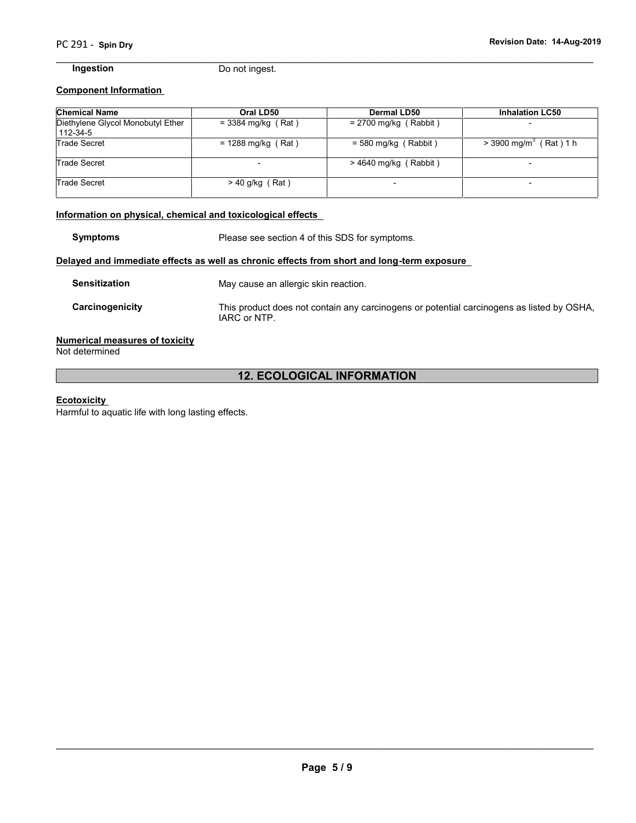$\overline{\phantom{a}}$  , and the contribution of the contribution of the contribution of the contribution of the contribution of the contribution of the contribution of the contribution of the contribution of the contribution of the

**Ingestion** Do not ingest.

#### **Component Information**

| <b>Chemical Name</b>                          | Oral LD50            | Dermal LD50              | <b>Inhalation LC50</b>               |
|-----------------------------------------------|----------------------|--------------------------|--------------------------------------|
| Diethylene Glycol Monobutyl Ether<br>112-34-5 | $= 3384$ mg/kg (Rat) | $= 2700$ mg/kg (Rabbit)  |                                      |
| <b>Trade Secret</b>                           | $= 1288$ mg/kg (Rat) | $=$ 580 mg/kg (Rabbit)   | $>$ 3900 mg/m <sup>3</sup> (Rat) 1 h |
| Trade Secret                                  |                      | $>$ 4640 mg/kg (Rabbit)  |                                      |
| Trade Secret                                  | $>$ 40 g/kg (Rat)    | $\overline{\phantom{0}}$ |                                      |

#### **Information on physical, chemical and toxicological effects**

**Symptoms** Please see section 4 of this SDS for symptoms.

#### **Delayed and immediate effects as well as chronic effects from short and long-term exposure**

| <b>Sensitization</b> | May cause an allergic skin reaction.                                                                      |
|----------------------|-----------------------------------------------------------------------------------------------------------|
| Carcinogenicity      | This product does not contain any carcinogens or potential carcinogens as listed by OSHA,<br>IARC or NTP. |

### **Numerical measures of toxicity**

Not determined

# **12. ECOLOGICAL INFORMATION**

#### **Ecotoxicity**

Harmful to aquatic life with long lasting effects.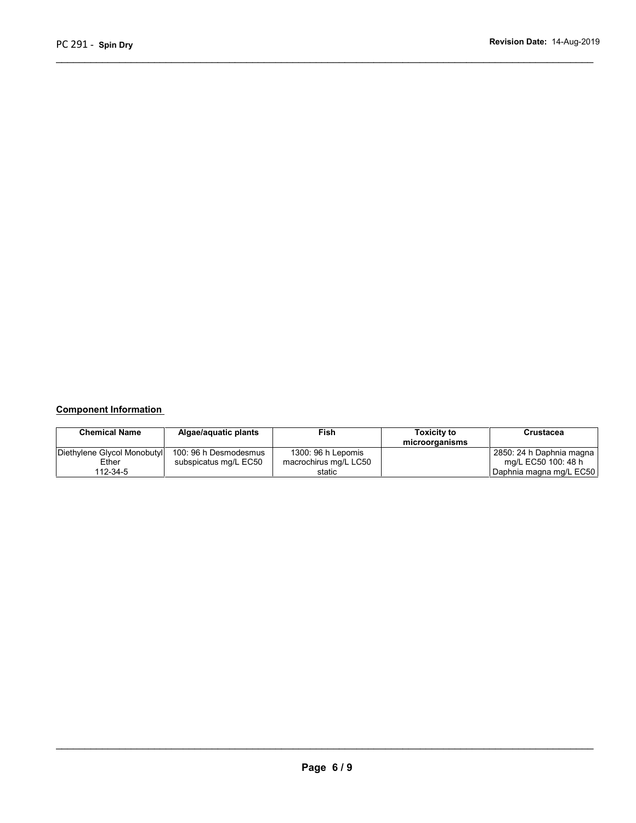# **Component Information**

| <b>Chemical Name</b>        | Algae/aquatic plants  | Fish                  | <b>Toxicity to</b> | Crustacea                 |
|-----------------------------|-----------------------|-----------------------|--------------------|---------------------------|
|                             |                       |                       | microorganisms     |                           |
| Diethylene Glycol Monobutyl | 100: 96 h Desmodesmus | 1300: 96 h Lepomis    |                    | 2850: 24 h Daphnia magna  |
| Ether                       | subspicatus mg/L EC50 | macrochirus mg/L LC50 |                    | mg/L EC50 100: 48 h       |
| 112-34-5                    |                       | static                |                    | I Daphnia magna mg/L EC50 |

 $\overline{\phantom{a}}$  , and the contribution of the contribution of the contribution of the contribution of the contribution of the contribution of the contribution of the contribution of the contribution of the contribution of the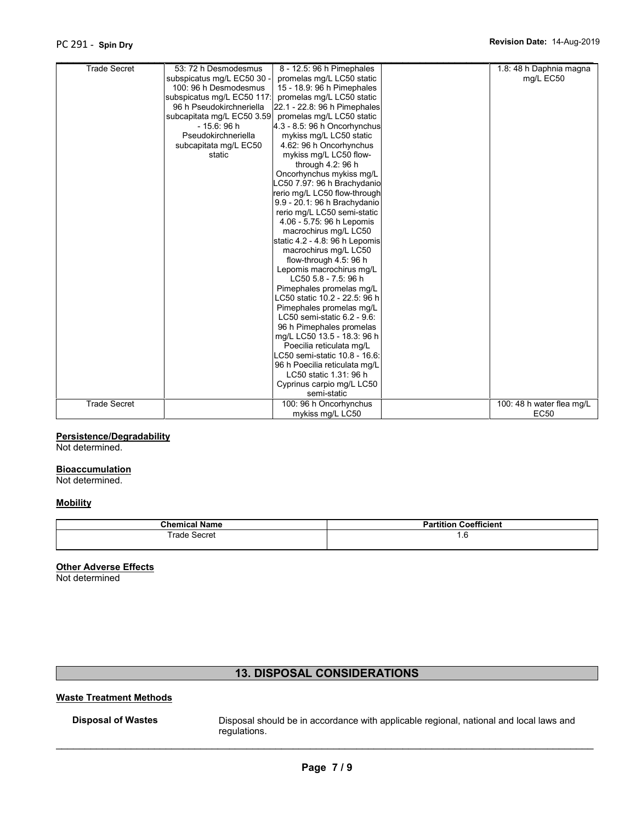| <b>Trade Secret</b> | 53: 72 h Desmodesmus       | 8 - 12.5: 96 h Pimephales      | 1.8: 48 h Daphnia magna   |
|---------------------|----------------------------|--------------------------------|---------------------------|
|                     | subspicatus mg/L EC50 30 - | promelas mg/L LC50 static      | mg/L EC50                 |
|                     | 100: 96 h Desmodesmus      | 15 - 18.9: 96 h Pimephales     |                           |
|                     | subspicatus mg/L EC50 117: | promelas mg/L LC50 static      |                           |
|                     | 96 h Pseudokirchneriella   | 22.1 - 22.8: 96 h Pimephales   |                           |
|                     | subcapitata mg/L EC50 3.59 | promelas mg/L LC50 static      |                           |
|                     | $-15.6:96h$                | 4.3 - 8.5: 96 h Oncorhynchus   |                           |
|                     | Pseudokirchneriella        | mykiss mg/L LC50 static        |                           |
|                     | subcapitata mg/L EC50      | 4.62: 96 h Oncorhynchus        |                           |
|                     | static                     | mykiss mg/L LC50 flow-         |                           |
|                     |                            | through 4.2: 96 h              |                           |
|                     |                            | Oncorhynchus mykiss mg/L       |                           |
|                     |                            | LC50 7.97: 96 h Brachydanio    |                           |
|                     |                            | rerio mg/L LC50 flow-through   |                           |
|                     |                            | 9.9 - 20.1: 96 h Brachydanio   |                           |
|                     |                            | rerio mg/L LC50 semi-static    |                           |
|                     |                            | 4.06 - 5.75: 96 h Lepomis      |                           |
|                     |                            | macrochirus mg/L LC50          |                           |
|                     |                            | static 4.2 - 4.8: 96 h Lepomis |                           |
|                     |                            | macrochirus mg/L LC50          |                           |
|                     |                            | flow-through 4.5: 96 h         |                           |
|                     |                            | Lepomis macrochirus mg/L       |                           |
|                     |                            | LC50 5.8 - 7.5: 96 h           |                           |
|                     |                            | Pimephales promelas mg/L       |                           |
|                     |                            | LC50 static 10.2 - 22.5: 96 h  |                           |
|                     |                            | Pimephales promelas mg/L       |                           |
|                     |                            | LC50 semi-static 6.2 - 9.6:    |                           |
|                     |                            | 96 h Pimephales promelas       |                           |
|                     |                            | mg/L LC50 13.5 - 18.3: 96 h    |                           |
|                     |                            | Poecilia reticulata mg/L       |                           |
|                     |                            | LC50 semi-static 10.8 - 16.6:  |                           |
|                     |                            | 96 h Poecilia reticulata mg/L  |                           |
|                     |                            | LC50 static 1.31: 96 h         |                           |
|                     |                            | Cyprinus carpio mg/L LC50      |                           |
|                     |                            | semi-static                    |                           |
| <b>Trade Secret</b> |                            | 100: 96 h Oncorhynchus         | 100: 48 h water flea mg/L |
|                     |                            | mykiss mg/L LC50               | EC50                      |

## **Persistence/Degradability**

Not determined.

#### **Bioaccumulation**

Not determined.

#### **Mobility**

| <b>Chemical Name</b>       | Coefficient<br><b>Partition</b> |  |
|----------------------------|---------------------------------|--|
| rade<br>$\sim$<br>∵ ⊃eciet | 1.U                             |  |

#### **Other Adverse Effects**

Not determined

# **13. DISPOSAL CONSIDERATIONS**

# **Waste Treatment Methods**

Disposal of Wastes **Disposal should be in accordance with applicable regional, national and local laws and** regulations.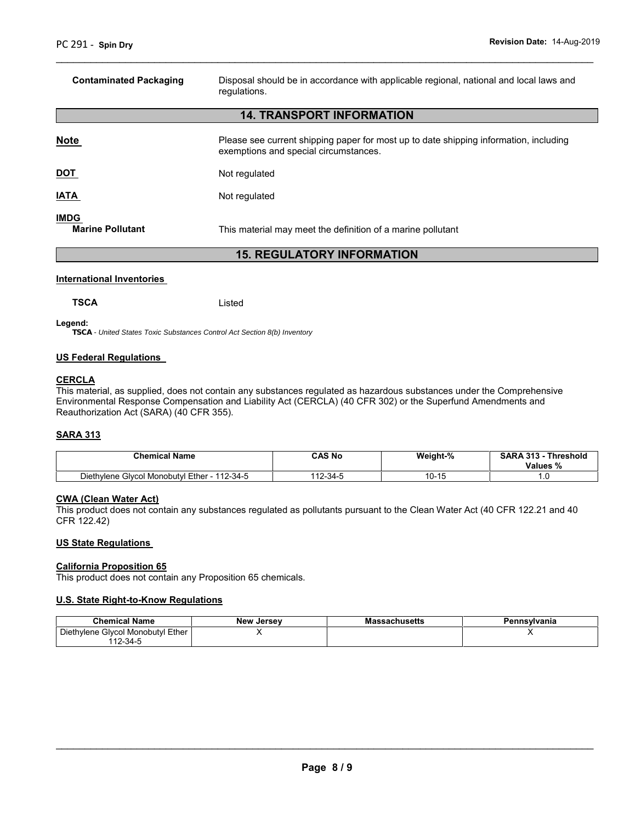| <b>Contaminated Packaging</b>          | Disposal should be in accordance with applicable regional, national and local laws and<br>regulations.                         |
|----------------------------------------|--------------------------------------------------------------------------------------------------------------------------------|
|                                        | <b>14. TRANSPORT INFORMATION</b>                                                                                               |
| Note                                   | Please see current shipping paper for most up to date shipping information, including<br>exemptions and special circumstances. |
| <u>DOT</u>                             | Not regulated                                                                                                                  |
| <u>IATA</u>                            | Not regulated                                                                                                                  |
| <b>IMDG</b><br><b>Marine Pollutant</b> | This material may meet the definition of a marine pollutant                                                                    |
|                                        | <b>15. REGULATORY INFORMATION</b>                                                                                              |

 $\overline{\phantom{a}}$  , and the contribution of the contribution of the contribution of the contribution of the contribution of the contribution of the contribution of the contribution of the contribution of the contribution of the

#### **International Inventories**

**Legend:**

*TSCA - United States Toxic Substances Control Act Section 8(b) Inventory*

**TSCA** Listed

#### **US Federal Regulations**

#### **CERCLA**

This material, as supplied, does not contain any substances regulated as hazardous substances under the Comprehensive Environmental Response Compensation and Liability Act (CERCLA) (40 CFR 302) or the Superfund Amendments and Reauthorization Act (SARA) (40 CFR 355).

#### **SARA 313**

| <b>Chemical Name</b>              | <b>CAS No</b> | Weight-% | <b>SARA 313</b><br><b>Threshold</b><br>Values % |
|-----------------------------------|---------------|----------|-------------------------------------------------|
| Diethylene Glycol Monobutyl Ether | 110           | $\sim$   |                                                 |
| 112-34-5                          | ຳ-34-ປ        | ט-וט     |                                                 |

#### **CWA (Clean Water Act)**

This product does not contain any substances regulated as pollutants pursuant to the Clean Water Act (40 CFR 122.21 and 40 CFR 122.42)

#### **US State Regulations**

#### **California Proposition 65**

This product does not contain any Proposition 65 chemicals.

#### **U.S. State Right-to-Know Regulations**

| <b>Chemical Name</b>                    | New<br>Jersev | sachusetts<br>ма | Pennsylvania |
|-----------------------------------------|---------------|------------------|--------------|
| Ether<br>Diethylene<br>Givcol Monobutyl |               |                  |              |
| 112-34-                                 |               |                  |              |